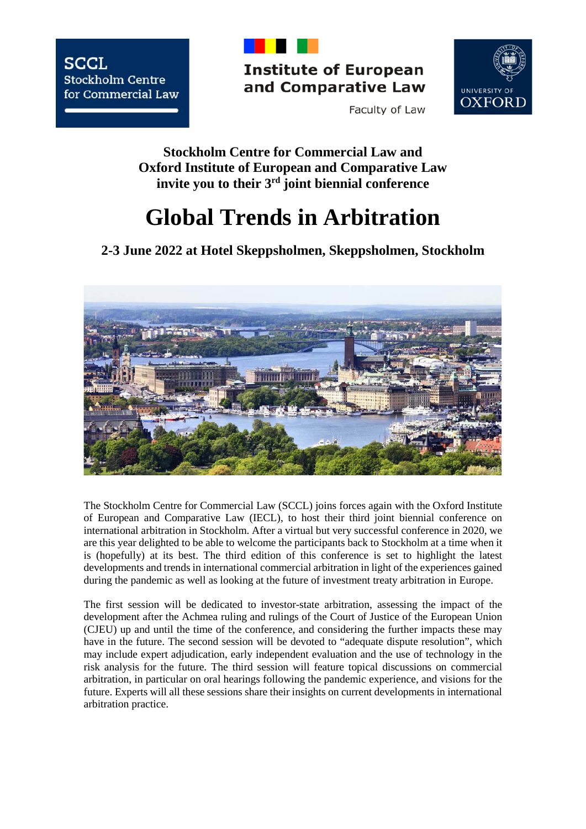

**Institute of European** and Comparative Law



Faculty of Law

**Stockholm Centre for Commercial Law and Oxford Institute of European and Comparative Law invite you to their 3rd joint biennial conference**

# **Global Trends in Arbitration**

**2-3 June 2022 at Hotel Skeppsholmen, Skeppsholmen, Stockholm**



The Stockholm Centre for Commercial Law (SCCL) joins forces again with the Oxford Institute of European and Comparative Law (IECL), to host their third joint biennial conference on international arbitration in Stockholm. After a virtual but very successful conference in 2020, we are this year delighted to be able to welcome the participants back to Stockholm at a time when it is (hopefully) at its best. The third edition of this conference is set to highlight the latest developments and trends in international commercial arbitration in light of the experiences gained during the pandemic as well as looking at the future of investment treaty arbitration in Europe.

The first session will be dedicated to investor-state arbitration, assessing the impact of the development after the Achmea ruling and rulings of the Court of Justice of the European Union (CJEU) up and until the time of the conference, and considering the further impacts these may have in the future. The second session will be devoted to "adequate dispute resolution", which may include expert adjudication, early independent evaluation and the use of technology in the risk analysis for the future. The third session will feature topical discussions on commercial arbitration, in particular on oral hearings following the pandemic experience, and visions for the future. Experts will all these sessions share their insights on current developments in international arbitration practice.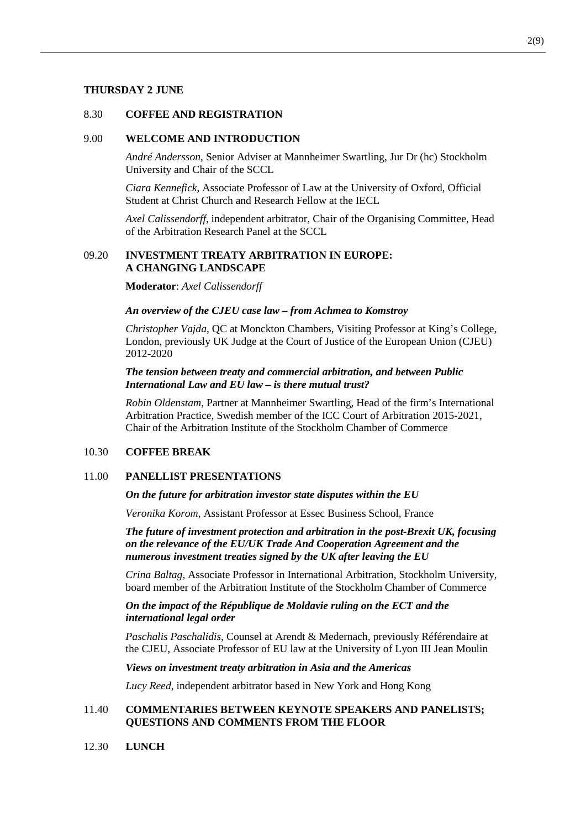#### **THURSDAY 2 JUNE**

## 8.30 **COFFEE AND REGISTRATION**

#### 9.00 **WELCOME AND INTRODUCTION**

*André Andersson*, Senior Adviser at Mannheimer Swartling, Jur Dr (hc) Stockholm University and Chair of the SCCL

*Ciara Kennefick*, Associate Professor of Law at the University of Oxford, Official Student at Christ Church and Research Fellow at the IECL

*Axel Calissendorff*, independent arbitrator, Chair of the Organising Committee, Head of the Arbitration Research Panel at the SCCL

## 09.20 **INVESTMENT TREATY ARBITRATION IN EUROPE: A CHANGING LANDSCAPE**

**Moderator**: *Axel Calissendorff*

#### *An overview of the CJEU case law – from Achmea to Komstroy*

*Christopher Vajda*, QC at Monckton Chambers, Visiting Professor at King's College, London, previously UK Judge at the Court of Justice of the European Union (CJEU) 2012-2020

## *The tension between treaty and commercial arbitration, and between Public International Law and EU law – is there mutual trust?*

*Robin Oldenstam*, Partner at Mannheimer Swartling, Head of the firm's International Arbitration Practice, Swedish member of the ICC Court of Arbitration 2015-2021, Chair of the Arbitration Institute of the Stockholm Chamber of Commerce

## 10.30 **COFFEE BREAK**

#### 11.00 **PANELLIST PRESENTATIONS**

#### *On the future for arbitration investor state disputes within the EU*

*Veronika Korom*, Assistant Professor at Essec Business School, France

*The future of investment protection and arbitration in the post-Brexit UK, focusing on the relevance of the EU/UK Trade And Cooperation Agreement and the numerous investment treaties signed by the UK after leaving the EU*

*Crina Baltag*, Associate Professor in International Arbitration, Stockholm University, board member of the Arbitration Institute of the Stockholm Chamber of Commerce

#### *On the impact of the République de Moldavie ruling on the ECT and the international legal order*

*Paschalis Paschalidis*, Counsel at Arendt & Medernach, previously Référendaire at the CJEU, Associate Professor of EU law at the University of Lyon III Jean Moulin

#### *Views on investment treaty arbitration in Asia and the Americas*

*Lucy Reed*, independent arbitrator based in New York and Hong Kong

## 11.40 **COMMENTARIES BETWEEN KEYNOTE SPEAKERS AND PANELISTS; QUESTIONS AND COMMENTS FROM THE FLOOR**

12.30 **LUNCH**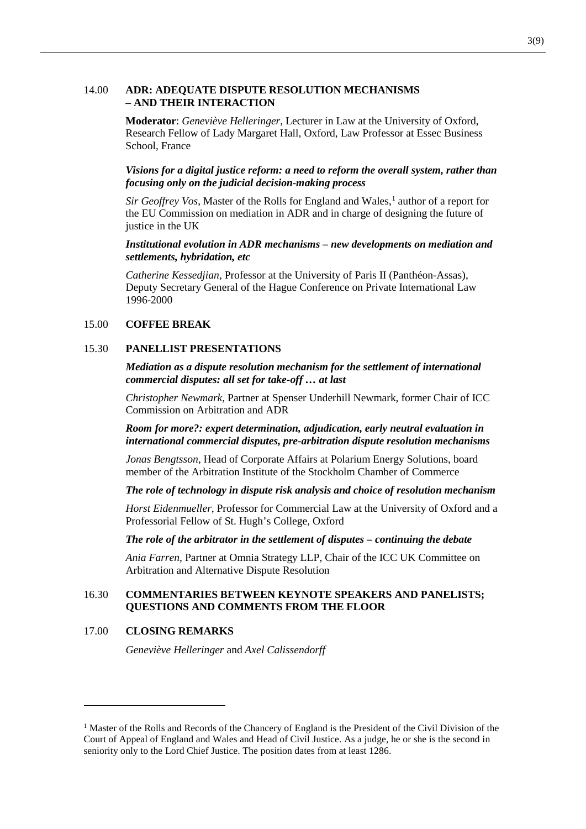#### 14.00 **ADR: ADEQUATE DISPUTE RESOLUTION MECHANISMS – AND THEIR INTERACTION**

**Moderator**: *Geneviève Helleringer,* Lecturer in Law at the University of Oxford, Research Fellow of Lady Margaret Hall, Oxford, Law Professor at Essec Business School, France

*Visions for a digital justice reform: a need to reform the overall system, rather than focusing only on the judicial decision-making process*

*Sir Geoffrey Vos*, Master of the Rolls for England and Wales,<sup>[1](#page-2-0)</sup> author of a report for the EU Commission on mediation in ADR and in charge of designing the future of justice in the UK

#### *Institutional evolution in ADR mechanisms – new developments on mediation and settlements, hybridation, etc*

*Catherine Kessedjian*, Professor at the University of Paris II (Panthéon-Assas), Deputy Secretary General of the Hague Conference on Private International Law 1996-2000

#### 15.00 **COFFEE BREAK**

#### 15.30 **PANELLIST PRESENTATIONS**

*Mediation as a dispute resolution mechanism for the settlement of international commercial disputes: all set for take-off … at last*

*Christopher Newmark*, Partner at Spenser Underhill Newmark, former Chair of ICC Commission on Arbitration and ADR

*Room for more?: expert determination, adjudication, early neutral evaluation in international commercial disputes, pre-arbitration dispute resolution mechanisms*

*Jonas Bengtsson*, Head of Corporate Affairs at Polarium Energy Solutions, board member of the Arbitration Institute of the Stockholm Chamber of Commerce

*The role of technology in dispute risk analysis and choice of resolution mechanism*

*Horst Eidenmueller*, Professor for Commercial Law at the University of Oxford and a Professorial Fellow of St. Hugh's College, Oxford

*The role of the arbitrator in the settlement of disputes – continuing the debate*

*Ania Farren*, Partner at Omnia Strategy LLP, Chair of the ICC UK Committee on Arbitration and Alternative Dispute Resolution

## 16.30 **COMMENTARIES BETWEEN KEYNOTE SPEAKERS AND PANELISTS; QUESTIONS AND COMMENTS FROM THE FLOOR**

#### 17.00 **CLOSING REMARKS**

-

*Geneviève Helleringer* and *Axel Calissendorff*

<span id="page-2-0"></span><sup>&</sup>lt;sup>1</sup> Master of the Rolls and Records of the Chancery of England is the President of the Civil Division of the Court of Appeal of England and Wales and Head of Civil Justice. As a judge, he or she is the second in seniority only to the Lord Chief Justice. The position dates from at least 1286.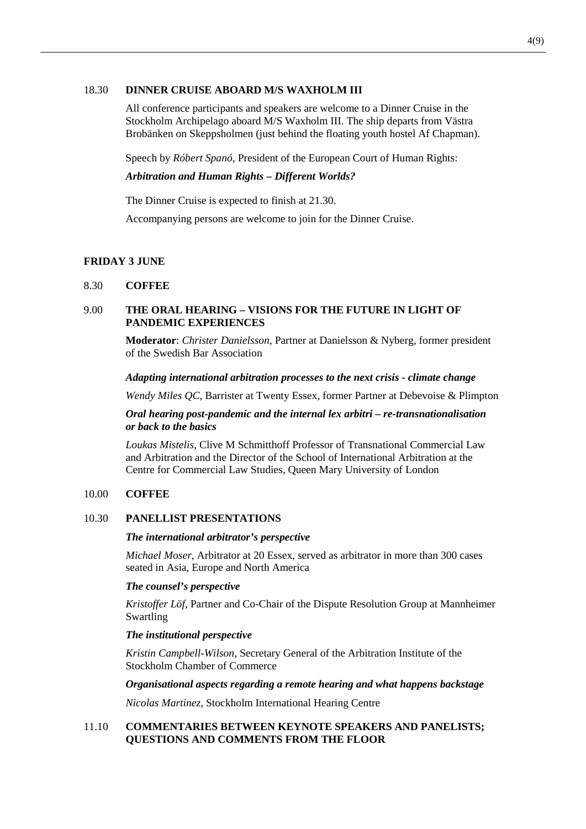#### 18.30 **DINNER CRUISE ABOARD M/S WAXHOLM III**

All conference participants and speakers are welcome to a Dinner Cruise in the Stockholm Archipelago aboard M/S Waxholm III. The ship departs from Västra Brobänken on Skeppsholmen (just behind the floating youth hostel Af Chapman).

Speech by *Róbert Spanó*, President of the European Court of Human Rights:

#### *Arbitration and Human Rights – Different Worlds?*

The Dinner Cruise is expected to finish at 21.30.

Accompanying persons are welcome to join for the Dinner Cruise.

## **FRIDAY 3 JUNE**

## 8.30 **COFFEE**

## 9.00 **THE ORAL HEARING – VISIONS FOR THE FUTURE IN LIGHT OF PANDEMIC EXPERIENCES**

**Moderator**: *Christer Danielsson*, Partner at Danielsson & Nyberg, former president of the Swedish Bar Association

#### *Adapting international arbitration processes to the next crisis - climate change*

*Wendy Miles QC*, Barrister at Twenty Essex, former Partner at Debevoise & Plimpton

#### *Oral hearing post-pandemic and the internal lex arbitri – re-transnationalisation or back to the basics*

*Loukas Mistelis*, Clive M Schmitthoff Professor of Transnational Commercial Law and Arbitration and the Director of the School of International Arbitration at the Centre for Commercial Law Studies, Queen Mary University of London

## 10.00 **COFFEE**

## 10.30 **PANELLIST PRESENTATIONS**

#### *The international arbitrator's perspective*

*Michael Moser*, Arbitrator at 20 Essex, served as arbitrator in more than 300 cases seated in Asia, Europe and North America

#### *The counsel's perspective*

*Kristoffer Löf*, Partner and Co-Chair of the Dispute Resolution Group at Mannheimer Swartling

## *The institutional perspective*

*Kristin Campbell-Wilson*, Secretary General of the Arbitration Institute of the Stockholm Chamber of Commerce

*Organisational aspects regarding a remote hearing and what happens backstage*

*Nicolas Martinez*, Stockholm International Hearing Centre

## 11.10 **COMMENTARIES BETWEEN KEYNOTE SPEAKERS AND PANELISTS; QUESTIONS AND COMMENTS FROM THE FLOOR**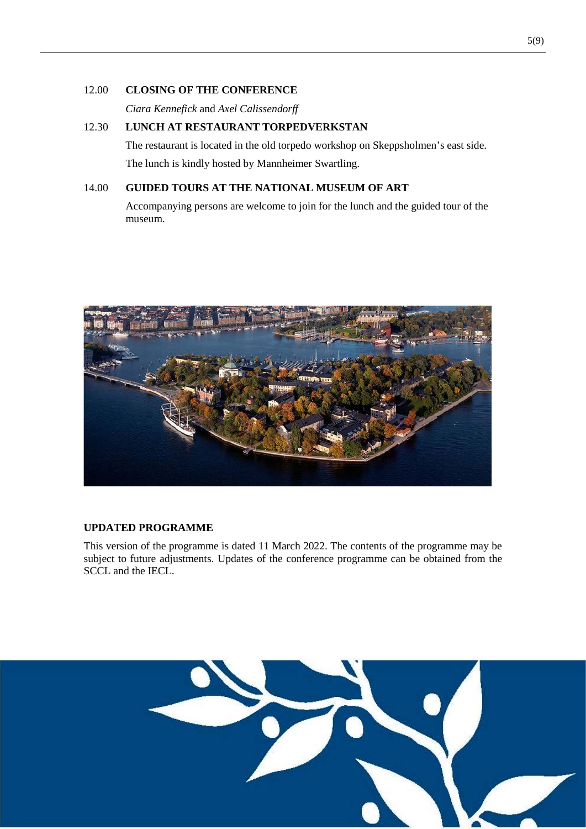## 12.00 **CLOSING OF THE CONFERENCE**

*Ciara Kennefick* and *Axel Calissendorff*

# 12.30 **LUNCH AT RESTAURANT TORPEDVERKSTAN**

The restaurant is located in the old torpedo workshop on Skeppsholmen's east side. The lunch is kindly hosted by Mannheimer Swartling.

# 14.00 **GUIDED TOURS AT THE NATIONAL MUSEUM OF ART**

Accompanying persons are welcome to join for the lunch and the guided tour of the museum.



# **UPDATED PROGRAMME**

This version of the programme is dated 11 March 2022. The contents of the programme may be subject to future adjustments. Updates of the conference programme can be obtained from the SCCL and the IECL.

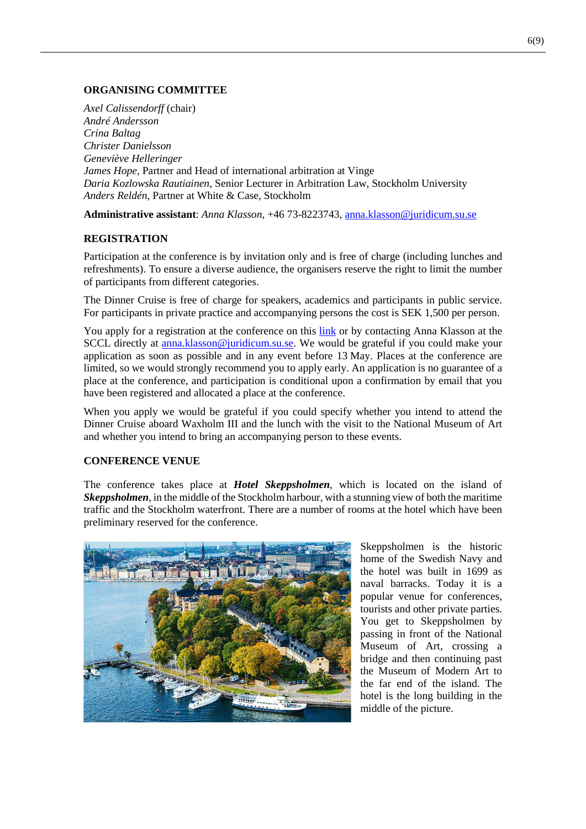# **ORGANISING COMMITTEE**

*Axel Calissendorff* (chair) *André Andersson Crina Baltag Christer Danielsson Geneviève Helleringer James Hope,* Partner and Head of international arbitration at Vinge *Daria Kozlowska Rautiainen*, Senior Lecturer in Arbitration Law, Stockholm University *Anders Reldén,* Partner at White & Case, Stockholm

**Administrative assistant**: *Anna Klasson*, +46 73-8223743, [anna.klasson@juridicum.su.se](mailto:anna.klasson@juridicum.su.se)

# **REGISTRATION**

Participation at the conference is by invitation only and is free of charge (including lunches and refreshments). To ensure a diverse audience, the organisers reserve the right to limit the number of participants from different categories.

The Dinner Cruise is free of charge for speakers, academics and participants in public service. For participants in private practice and accompanying persons the cost is SEK 1,500 per person.

You apply for a registration at the conference on this [link](https://participate-sccl.se/view.php?id=275851) or by contacting Anna Klasson at the SCCL directly at [anna.klasson@juridicum.su.se.](mailto:anna.klasson@juridicum.su.se) We would be grateful if you could make your application as soon as possible and in any event before 13 May. Places at the conference are limited, so we would strongly recommend you to apply early. An application is no guarantee of a place at the conference, and participation is conditional upon a confirmation by email that you have been registered and allocated a place at the conference.

When you apply we would be grateful if you could specify whether you intend to attend the Dinner Cruise aboard Waxholm III and the lunch with the visit to the National Museum of Art and whether you intend to bring an accompanying person to these events.

# **CONFERENCE VENUE**

The conference takes place at *Hotel Skeppsholmen*, which is located on the island of *Skeppsholmen*, in the middle of the Stockholm harbour, with a stunning view of both the maritime traffic and the Stockholm waterfront. There are a number of rooms at the hotel which have been preliminary reserved for the conference.



Skeppsholmen is the historic home of the Swedish Navy and the hotel was built in 1699 as naval barracks. Today it is a popular venue for conferences, tourists and other private parties. You get to Skeppsholmen by passing in front of the National Museum of Art, crossing a bridge and then continuing past the Museum of Modern Art to the far end of the island. The hotel is the long building in the middle of the picture.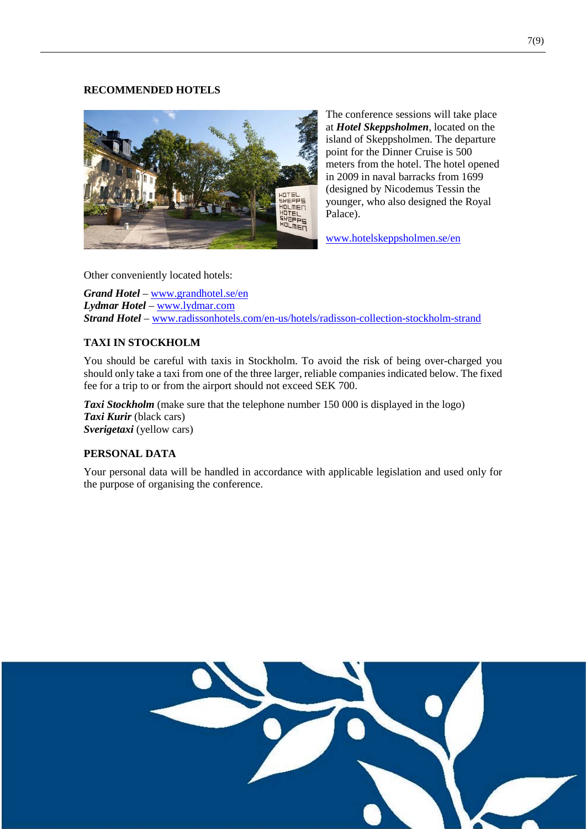#### **RECOMMENDED HOTELS**



The conference sessions will take place at *Hotel Skeppsholmen*, located on the island of Skeppsholmen. The departure point for the Dinner Cruise is 500 meters from the hotel. The hotel opened in 2009 in naval barracks from 1699 (designed by Nicodemus Tessin the younger, who also designed the Royal Palace).

[www.hotelskeppsholmen.se/en](http://www.hotelskeppsholmen.se/en)

Other conveniently located hotels:

*Grand Hotel* – [www.grandhotel.se/en](http://www.grandhotel.se/en) *Lydmar Hotel* – [www.lydmar.com](http://www.lydmar.com/) *Strand Hotel* – [www.radissonhotels.com/en-us/hotels/radisson-collection-stockholm-strand](http://www.radissonhotels.com/en-us/hotels/radisson-collection-stockholm-strand)

# **TAXI IN STOCKHOLM**

You should be careful with taxis in Stockholm. To avoid the risk of being over-charged you should only take a taxi from one of the three larger, reliable companies indicated below. The fixed fee for a trip to or from the airport should not exceed SEK 700.

**Taxi Stockholm** (make sure that the telephone number 150 000 is displayed in the logo) *Taxi Kurir* (black cars) *Sverigetaxi* (yellow cars)

# **PERSONAL DATA**

Your personal data will be handled in accordance with applicable legislation and used only for the purpose of organising the conference.

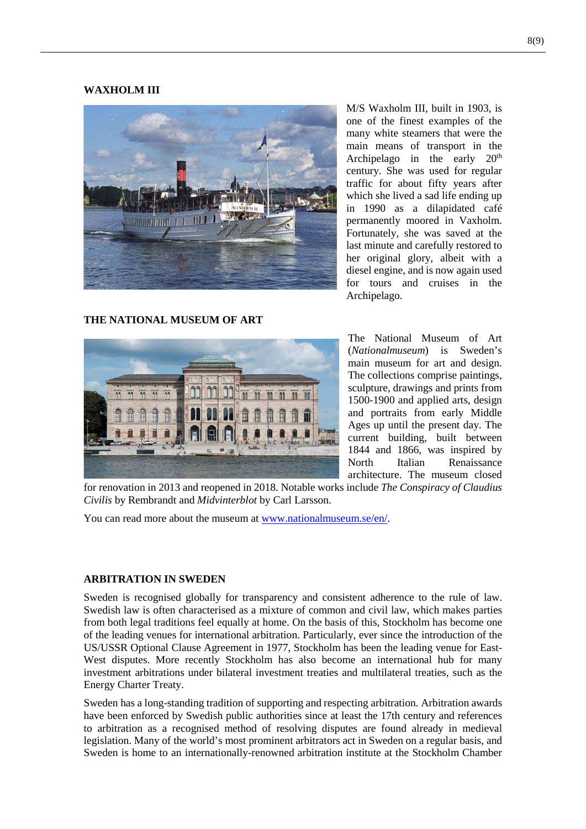#### **WAXHOLM III**



M/S Waxholm III, built in 1903, is one of the finest examples of the many white steamers that were the main means of transport in the Archipelago in the early  $20<sup>th</sup>$ century. She was used for regular traffic for about fifty years after which she lived a sad life ending up in 1990 as a dilapidated café permanently moored in Vaxholm. Fortunately, she was saved at the last minute and carefully restored to her original glory, albeit with a diesel engine, and is now again used for tours and cruises in the Archipelago.

# **THE NATIONAL MUSEUM OF ART**



The National Museum of Art (*Nationalmuseum*) is Sweden's main museum for art and design. The collections comprise paintings, sculpture, drawings and prints from 1500-1900 and applied arts, design and portraits from early Middle Ages up until the present day. The current building, built between 1844 and 1866, was inspired by North Italian Renaissance architecture. The museum closed

for renovation in 2013 and reopened in 2018. Notable works include *The Conspiracy of Claudius Civilis* by Rembrandt and *Midvinterblot* by Carl Larsson.

You can read more about the museum at [www.nationalmuseum.se/en/.](http://www.nationalmuseum.se/en/)

#### **ARBITRATION IN SWEDEN**

Sweden is recognised globally for transparency and consistent adherence to the rule of law. Swedish law is often characterised as a mixture of common and civil law, which makes parties from both legal traditions feel equally at home. On the basis of this, Stockholm has become one of the leading venues for international arbitration. Particularly, ever since the introduction of the US/USSR Optional Clause Agreement in 1977, Stockholm has been the leading venue for East-West disputes. More recently Stockholm has also become an international hub for many investment arbitrations under bilateral investment treaties and multilateral treaties, such as the Energy Charter Treaty.

Sweden has a long-standing tradition of supporting and respecting arbitration. Arbitration awards have been enforced by Swedish public authorities since at least the 17th century and references to arbitration as a recognised method of resolving disputes are found already in medieval legislation. Many of the world's most prominent arbitrators act in Sweden on a regular basis, and Sweden is home to an internationally-renowned arbitration institute at the Stockholm Chamber